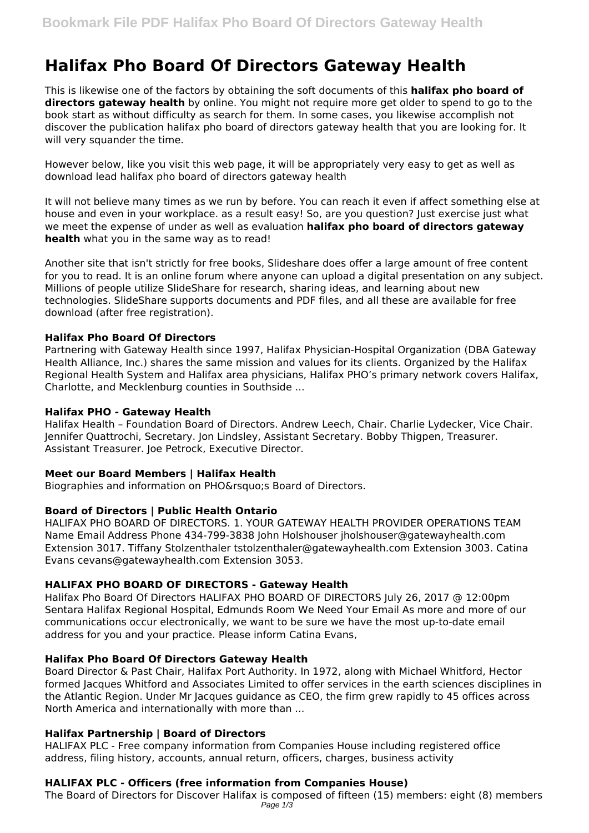# **Halifax Pho Board Of Directors Gateway Health**

This is likewise one of the factors by obtaining the soft documents of this **halifax pho board of directors gateway health** by online. You might not require more get older to spend to go to the book start as without difficulty as search for them. In some cases, you likewise accomplish not discover the publication halifax pho board of directors gateway health that you are looking for. It will very squander the time.

However below, like you visit this web page, it will be appropriately very easy to get as well as download lead halifax pho board of directors gateway health

It will not believe many times as we run by before. You can reach it even if affect something else at house and even in your workplace. as a result easy! So, are you question? Just exercise just what we meet the expense of under as well as evaluation **halifax pho board of directors gateway health** what you in the same way as to read!

Another site that isn't strictly for free books, Slideshare does offer a large amount of free content for you to read. It is an online forum where anyone can upload a digital presentation on any subject. Millions of people utilize SlideShare for research, sharing ideas, and learning about new technologies. SlideShare supports documents and PDF files, and all these are available for free download (after free registration).

# **Halifax Pho Board Of Directors**

Partnering with Gateway Health since 1997, Halifax Physician-Hospital Organization (DBA Gateway Health Alliance, Inc.) shares the same mission and values for its clients. Organized by the Halifax Regional Health System and Halifax area physicians, Halifax PHO's primary network covers Halifax, Charlotte, and Mecklenburg counties in Southside ...

## **Halifax PHO - Gateway Health**

Halifax Health – Foundation Board of Directors. Andrew Leech, Chair. Charlie Lydecker, Vice Chair. Jennifer Quattrochi, Secretary. Jon Lindsley, Assistant Secretary. Bobby Thigpen, Treasurer. Assistant Treasurer. Joe Petrock, Executive Director.

## **Meet our Board Members | Halifax Health**

Biographies and information on PHO' Board of Directors.

# **Board of Directors | Public Health Ontario**

HALIFAX PHO BOARD OF DIRECTORS. 1. YOUR GATEWAY HEALTH PROVIDER OPERATIONS TEAM Name Email Address Phone 434-799-3838 John Holshouser jholshouser@gatewayhealth.com Extension 3017. Tiffany Stolzenthaler tstolzenthaler@gatewayhealth.com Extension 3003. Catina Evans cevans@gatewayhealth.com Extension 3053.

# **HALIFAX PHO BOARD OF DIRECTORS - Gateway Health**

Halifax Pho Board Of Directors HALIFAX PHO BOARD OF DIRECTORS July 26, 2017 @ 12:00pm Sentara Halifax Regional Hospital, Edmunds Room We Need Your Email As more and more of our communications occur electronically, we want to be sure we have the most up-to-date email address for you and your practice. Please inform Catina Evans,

# **Halifax Pho Board Of Directors Gateway Health**

Board Director & Past Chair, Halifax Port Authority. In 1972, along with Michael Whitford, Hector formed Jacques Whitford and Associates Limited to offer services in the earth sciences disciplines in the Atlantic Region. Under Mr Jacques guidance as CEO, the firm grew rapidly to 45 offices across North America and internationally with more than ...

# **Halifax Partnership | Board of Directors**

HALIFAX PLC - Free company information from Companies House including registered office address, filing history, accounts, annual return, officers, charges, business activity

# **HALIFAX PLC - Officers (free information from Companies House)**

The Board of Directors for Discover Halifax is composed of fifteen (15) members: eight (8) members Page  $1/3$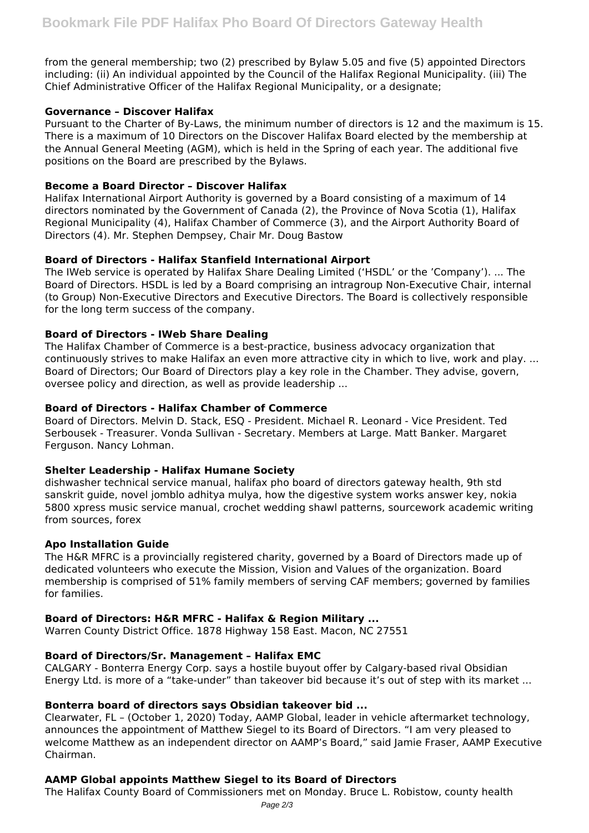from the general membership; two (2) prescribed by Bylaw 5.05 and five (5) appointed Directors including: (ii) An individual appointed by the Council of the Halifax Regional Municipality. (iii) The Chief Administrative Officer of the Halifax Regional Municipality, or a designate;

## **Governance – Discover Halifax**

Pursuant to the Charter of By-Laws, the minimum number of directors is 12 and the maximum is 15. There is a maximum of 10 Directors on the Discover Halifax Board elected by the membership at the Annual General Meeting (AGM), which is held in the Spring of each year. The additional five positions on the Board are prescribed by the Bylaws.

## **Become a Board Director – Discover Halifax**

Halifax International Airport Authority is governed by a Board consisting of a maximum of 14 directors nominated by the Government of Canada (2), the Province of Nova Scotia (1), Halifax Regional Municipality (4), Halifax Chamber of Commerce (3), and the Airport Authority Board of Directors (4). Mr. Stephen Dempsey, Chair Mr. Doug Bastow

## **Board of Directors - Halifax Stanfield International Airport**

The IWeb service is operated by Halifax Share Dealing Limited ('HSDL' or the 'Company'). ... The Board of Directors. HSDL is led by a Board comprising an intragroup Non-Executive Chair, internal (to Group) Non-Executive Directors and Executive Directors. The Board is collectively responsible for the long term success of the company.

## **Board of Directors - IWeb Share Dealing**

The Halifax Chamber of Commerce is a best-practice, business advocacy organization that continuously strives to make Halifax an even more attractive city in which to live, work and play. ... Board of Directors; Our Board of Directors play a key role in the Chamber. They advise, govern, oversee policy and direction, as well as provide leadership ...

## **Board of Directors - Halifax Chamber of Commerce**

Board of Directors. Melvin D. Stack, ESQ - President. Michael R. Leonard - Vice President. Ted Serbousek - Treasurer. Vonda Sullivan - Secretary. Members at Large. Matt Banker. Margaret Ferguson. Nancy Lohman.

## **Shelter Leadership - Halifax Humane Society**

dishwasher technical service manual, halifax pho board of directors gateway health, 9th std sanskrit guide, novel jomblo adhitya mulya, how the digestive system works answer key, nokia 5800 xpress music service manual, crochet wedding shawl patterns, sourcework academic writing from sources, forex

## **Apo Installation Guide**

The H&R MFRC is a provincially registered charity, governed by a Board of Directors made up of dedicated volunteers who execute the Mission, Vision and Values of the organization. Board membership is comprised of 51% family members of serving CAF members; governed by families for families.

# **Board of Directors: H&R MFRC - Halifax & Region Military ...**

Warren County District Office. 1878 Highway 158 East. Macon, NC 27551

## **Board of Directors/Sr. Management – Halifax EMC**

CALGARY - Bonterra Energy Corp. says a hostile buyout offer by Calgary-based rival Obsidian Energy Ltd. is more of a "take-under" than takeover bid because it's out of step with its market ...

## **Bonterra board of directors says Obsidian takeover bid ...**

Clearwater, FL – (October 1, 2020) Today, AAMP Global, leader in vehicle aftermarket technology, announces the appointment of Matthew Siegel to its Board of Directors. "I am very pleased to welcome Matthew as an independent director on AAMP's Board," said Jamie Fraser, AAMP Executive Chairman.

## **AAMP Global appoints Matthew Siegel to its Board of Directors**

The Halifax County Board of Commissioners met on Monday. Bruce L. Robistow, county health